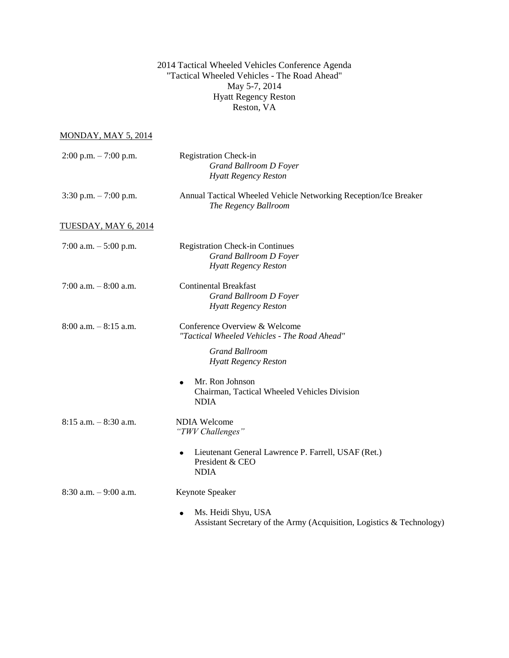2014 Tactical Wheeled Vehicles Conference Agenda "Tactical Wheeled Vehicles - The Road Ahead" May 5-7, 2014 Hyatt Regency Reston Reston, VA

MONDAY, MAY 5, 2014

| $2:00$ p.m. $-7:00$ p.m. | <b>Registration Check-in</b><br><b>Grand Ballroom D Foyer</b><br><b>Hyatt Regency Reston</b>                                                             |
|--------------------------|----------------------------------------------------------------------------------------------------------------------------------------------------------|
| 3:30 p.m. $-7:00$ p.m.   | Annual Tactical Wheeled Vehicle Networking Reception/Ice Breaker<br>The Regency Ballroom                                                                 |
| TUESDAY, MAY 6, 2014     |                                                                                                                                                          |
| 7:00 a.m. $-5:00$ p.m.   | <b>Registration Check-in Continues</b><br><b>Grand Ballroom D Foyer</b><br><b>Hyatt Regency Reston</b>                                                   |
| 7:00 a.m. $-8:00$ a.m.   | <b>Continental Breakfast</b><br><b>Grand Ballroom D Foyer</b><br><b>Hyatt Regency Reston</b>                                                             |
| $8:00$ a.m. $-8:15$ a.m. | Conference Overview & Welcome<br>"Tactical Wheeled Vehicles - The Road Ahead"<br><b>Grand Ballroom</b><br><b>Hyatt Regency Reston</b><br>Mr. Ron Johnson |
|                          | $\bullet$<br>Chairman, Tactical Wheeled Vehicles Division<br><b>NDIA</b>                                                                                 |
| $8:15$ a.m. $-8:30$ a.m. | <b>NDIA Welcome</b><br>"TWV Challenges"                                                                                                                  |
|                          | Lieutenant General Lawrence P. Farrell, USAF (Ret.)<br>$\bullet$<br>President & CEO<br><b>NDIA</b>                                                       |
| $8:30$ a.m. $-9:00$ a.m. | Keynote Speaker                                                                                                                                          |
|                          | Ms. Heidi Shyu, USA<br>Assistant Secretary of the Army (Acquisition, Logistics & Technology)                                                             |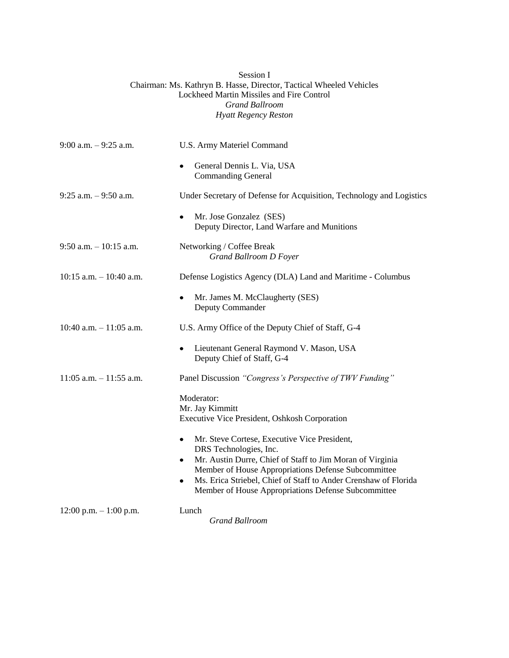| Session I                                                           |
|---------------------------------------------------------------------|
| Chairman: Ms. Kathryn B. Hasse, Director, Tactical Wheeled Vehicles |
| Lockheed Martin Missiles and Fire Control                           |
| <b>Grand Ballroom</b>                                               |
| Hyatt Regency Reston                                                |
|                                                                     |

| $9:00$ a.m. $-9:25$ a.m.   | U.S. Army Materiel Command                                                                                                                                                                                                                                                                                                          |
|----------------------------|-------------------------------------------------------------------------------------------------------------------------------------------------------------------------------------------------------------------------------------------------------------------------------------------------------------------------------------|
|                            | General Dennis L. Via, USA<br><b>Commanding General</b>                                                                                                                                                                                                                                                                             |
| $9:25$ a.m. $-9:50$ a.m.   | Under Secretary of Defense for Acquisition, Technology and Logistics                                                                                                                                                                                                                                                                |
|                            | Mr. Jose Gonzalez (SES)<br>Deputy Director, Land Warfare and Munitions                                                                                                                                                                                                                                                              |
| 9:50 a.m. $-10:15$ a.m.    | Networking / Coffee Break<br><b>Grand Ballroom D Foyer</b>                                                                                                                                                                                                                                                                          |
| $10:15$ a.m. $-10:40$ a.m. | Defense Logistics Agency (DLA) Land and Maritime - Columbus                                                                                                                                                                                                                                                                         |
|                            | Mr. James M. McClaugherty (SES)<br>Deputy Commander                                                                                                                                                                                                                                                                                 |
| 10:40 a.m. $-11:05$ a.m.   | U.S. Army Office of the Deputy Chief of Staff, G-4                                                                                                                                                                                                                                                                                  |
|                            | Lieutenant General Raymond V. Mason, USA<br>$\bullet$<br>Deputy Chief of Staff, G-4                                                                                                                                                                                                                                                 |
| $11:05$ a.m. $-11:55$ a.m. | Panel Discussion "Congress's Perspective of TWV Funding"                                                                                                                                                                                                                                                                            |
|                            | Moderator:<br>Mr. Jay Kimmitt<br>Executive Vice President, Oshkosh Corporation                                                                                                                                                                                                                                                      |
|                            | Mr. Steve Cortese, Executive Vice President,<br>٠<br>DRS Technologies, Inc.<br>Mr. Austin Durre, Chief of Staff to Jim Moran of Virginia<br>٠<br>Member of House Appropriations Defense Subcommittee<br>Ms. Erica Striebel, Chief of Staff to Ander Crenshaw of Florida<br>٠<br>Member of House Appropriations Defense Subcommittee |
| $12:00$ p.m. $-1:00$ p.m.  | Lunch<br><b>Grand Ballroom</b>                                                                                                                                                                                                                                                                                                      |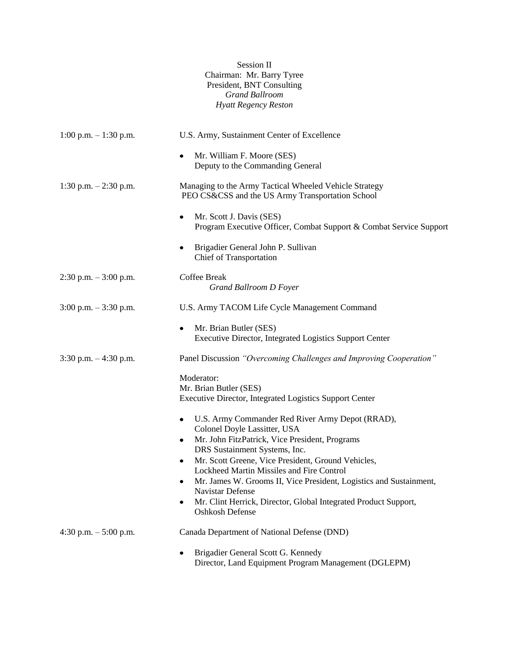## Session II Chairman: Mr. Barry Tyree President, BNT Consulting *Grand Ballroom Hyatt Regency Reston*

| $1:00$ p.m. $-1:30$ p.m. | U.S. Army, Sustainment Center of Excellence                                                                |
|--------------------------|------------------------------------------------------------------------------------------------------------|
|                          | Mr. William F. Moore (SES)<br>Deputy to the Commanding General                                             |
| 1:30 p.m. $- 2:30$ p.m.  | Managing to the Army Tactical Wheeled Vehicle Strategy<br>PEO CS&CSS and the US Army Transportation School |
|                          | Mr. Scott J. Davis (SES)<br>٠<br>Program Executive Officer, Combat Support & Combat Service Support        |
|                          | Brigadier General John P. Sullivan<br>٠<br>Chief of Transportation                                         |
| $2:30$ p.m. $-3:00$ p.m. | Coffee Break<br><b>Grand Ballroom D Foyer</b>                                                              |
| $3:00$ p.m. $-3:30$ p.m. | U.S. Army TACOM Life Cycle Management Command                                                              |
|                          | Mr. Brian Butler (SES)<br>$\bullet$<br>Executive Director, Integrated Logistics Support Center             |
| $3:30$ p.m. $-4:30$ p.m. | Panel Discussion "Overcoming Challenges and Improving Cooperation"                                         |
|                          | Moderator:<br>Mr. Brian Butler (SES)<br>Executive Director, Integrated Logistics Support Center            |
|                          | U.S. Army Commander Red River Army Depot (RRAD),<br>Colonel Doyle Lassitter, USA                           |
|                          | Mr. John FitzPatrick, Vice President, Programs<br>٠                                                        |
|                          | DRS Sustainment Systems, Inc.<br>Mr. Scott Greene, Vice President, Ground Vehicles,<br>٠                   |
|                          | Lockheed Martin Missiles and Fire Control                                                                  |
|                          | Mr. James W. Grooms II, Vice President, Logistics and Sustainment,<br>Navistar Defense                     |
|                          | Mr. Clint Herrick, Director, Global Integrated Product Support,<br>٠<br>Oshkosh Defense                    |
| 4:30 p.m. $-5:00$ p.m.   | Canada Department of National Defense (DND)                                                                |
|                          | Brigadier General Scott G. Kennedy<br>٠<br>Director, Land Equipment Program Management (DGLEPM)            |